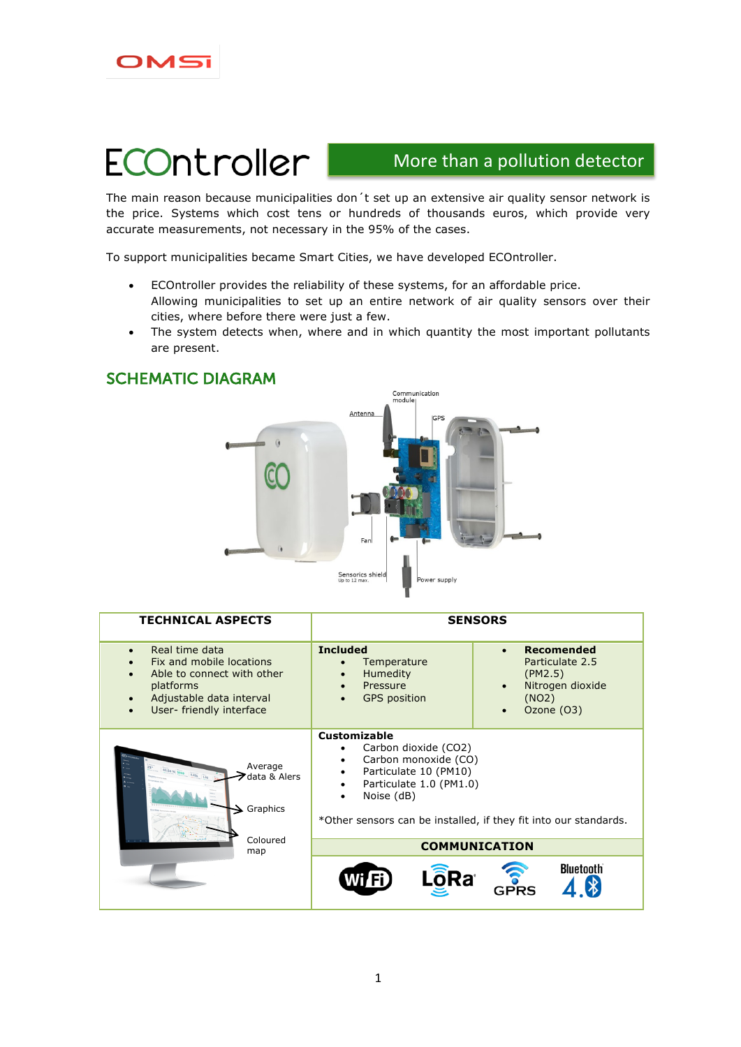

# **ECOntroller**

SCHEMATIC DIAGRAM

## More than a pollution detector

The main reason because municipalities don´t set up an extensive air quality sensor network is the price. Systems which cost tens or hundreds of thousands euros, which provide very accurate measurements, not necessary in the 95% of the cases.

To support municipalities became Smart Cities, we have developed ECOntroller.

- ECOntroller provides the reliability of these systems, for an affordable price. Allowing municipalities to set up an entire network of air quality sensors over their cities, where before there were just a few.
- The system detects when, where and in which quantity the most important pollutants are present.

# Communication<br>module Antenna Sensorics shield<br>Up to 12 max. supply

| <b>TECHNICAL ASPECTS</b>                                                                                                                                   | <b>SENSORS</b>                                                                                                                                                                                                                     |                                                                                                         |  |
|------------------------------------------------------------------------------------------------------------------------------------------------------------|------------------------------------------------------------------------------------------------------------------------------------------------------------------------------------------------------------------------------------|---------------------------------------------------------------------------------------------------------|--|
| Real time data<br>$\bullet$<br>Fix and mobile locations<br>Able to connect with other<br>platforms<br>Adjustable data interval<br>User- friendly interface | <b>Included</b><br>Temperature<br>Humedity<br>Pressure<br>$\bullet$<br><b>GPS</b> position                                                                                                                                         | <b>Recomended</b><br>$\bullet$<br>Particulate 2.5<br>(PM2.5)<br>Nitrogen dioxide<br>(NO2)<br>Ozone (O3) |  |
| Average<br>$54%$ 1013 0.411 1.03<br>data & Alers<br>$\blacktriangleright$ Graphics                                                                         | <b>Customizable</b><br>Carbon dioxide (CO2)<br>٠<br>Carbon monoxide (CO)<br>٠<br>Particulate 10 (PM10)<br>٠<br>Particulate 1.0 (PM1.0)<br>٠<br>Noise (dB)<br>٠<br>*Other sensors can be installed, if they fit into our standards. |                                                                                                         |  |
| Coloured<br>map                                                                                                                                            | <b>COMMUNICATION</b>                                                                                                                                                                                                               |                                                                                                         |  |
|                                                                                                                                                            | Wi <sup>n</sup><br>Ra®                                                                                                                                                                                                             | <b>Bluetooth</b><br>GPRS                                                                                |  |